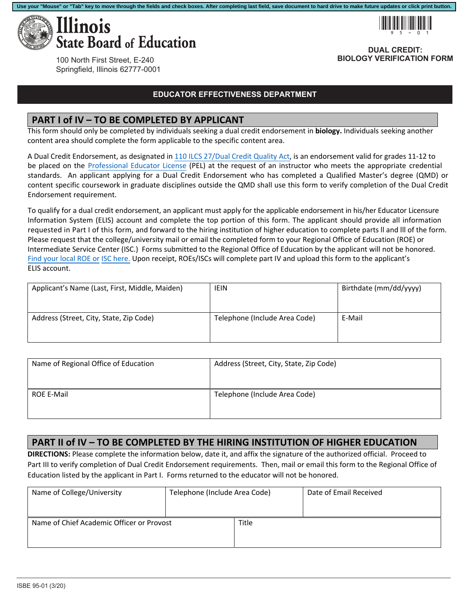



**DUAL CREDIT: BIOLOGY VERIFICATION FORM**

100 North First Street, E-240 Springfield, Illinois 62777-0001

#### **EDUCATOR EFFECTIVENESS DEPARTMENT**

#### **PART I of IV – TO BE COMPLETED BY APPLICANT**

This form should only be completed by individuals seeking a dual credit endorsement in **biology.** Individuals seeking another content area should complete the form applicable to the specific content area.

A Dual Credit Endorsement, as designated in 110 ILCS 27/Dual Credit Quality Act, is an endorsement valid for grades 11‐12 to be placed on the Professional Educator License (PEL) at the request of an instructor who meets the appropriate credential standards. An applicant applying for a Dual Credit Endorsement who has completed a Qualified Master's degree (QMD) or content specific coursework in graduate disciplines outside the QMD shall use this form to verify completion of the Dual Credit Endorsement requirement.

ELIS account. To qualify for a dual credit endorsement, an applicant must apply for the applicable endorsement in his/her Educator Licensure Information System (ELIS) account and complete the top portion of this form. The applicant should provide all information requested in Part I of this form, and forward to the hiring institution of higher education to complete parts ll and lll of the form. Please request that the college/university mail or email the completed form to your Regional Office of Education (ROE) or Intermediate Service Center (ISC.) Forms submitted to the Regional Office of Education by the applicant will not be honored. Find your local ROE or ISC here. Upon receipt, ROEs/ISCs will complete part IV and upload this form to the applicant's

| Applicant's Name (Last, First, Middle, Maiden) | <b>IEIN</b>                   | Birthdate (mm/dd/yyyy) |
|------------------------------------------------|-------------------------------|------------------------|
| Address (Street, City, State, Zip Code)        | Telephone (Include Area Code) | E-Mail                 |

| Name of Regional Office of Education | Address (Street, City, State, Zip Code) |
|--------------------------------------|-----------------------------------------|
| <b>ROE E-Mail</b>                    | Telephone (Include Area Code)           |

### **PART II of IV – TO BE COMPLETED BY THE HIRING INSTITUTION OF HIGHER EDUCATION**

**DIRECTIONS:** Please complete the information below, date it, and affix the signature of the authorized official. Proceed to Part III to verify completion of Dual Credit Endorsement requirements. Then, mail or email this form to the Regional Office of Education listed by the applicant in Part I. Forms returned to the educator will not be honored.

| Name of College/University                | Telephone (Include Area Code) |       | Date of Email Received |
|-------------------------------------------|-------------------------------|-------|------------------------|
| Name of Chief Academic Officer or Provost |                               | Title |                        |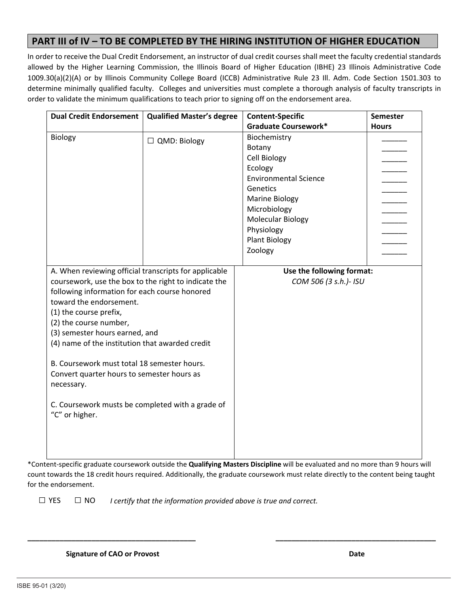## **PART III of IV – TO BE COMPLETED BY THE HIRING INSTITUTION OF HIGHER EDUCATION**

In order to receive the Dual Credit Endorsement, an instructor of dual credit courses shall meet the faculty credential standards allowed by the Higher Learning Commission, the Illinois Board of Higher Education (IBHE) 23 Illinois Administrative Code 1009.30(a)(2)(A) or by Illinois Community College Board (ICCB) Administrative Rule 23 Ill. Adm. Code Section 1501.303 to determine minimally qualified faculty. Colleges and universities must complete a thorough analysis of faculty transcripts in order to validate the minimum qualifications to teach prior to signing off on the endorsement area.

| <b>Dual Credit Endorsement</b>                                                                                                                                                                                                                                                                                                                                                                                                                                                                                      | <b>Qualified Master's degree</b> | <b>Content-Specific</b><br><b>Graduate Coursework*</b>                                                                                                                                                              | <b>Semester</b><br><b>Hours</b> |
|---------------------------------------------------------------------------------------------------------------------------------------------------------------------------------------------------------------------------------------------------------------------------------------------------------------------------------------------------------------------------------------------------------------------------------------------------------------------------------------------------------------------|----------------------------------|---------------------------------------------------------------------------------------------------------------------------------------------------------------------------------------------------------------------|---------------------------------|
| Biology                                                                                                                                                                                                                                                                                                                                                                                                                                                                                                             | $\Box$ QMD: Biology              | Biochemistry<br>Botany<br>Cell Biology<br>Ecology<br><b>Environmental Science</b><br>Genetics<br><b>Marine Biology</b><br>Microbiology<br><b>Molecular Biology</b><br>Physiology<br><b>Plant Biology</b><br>Zoology |                                 |
| A. When reviewing official transcripts for applicable<br>coursework, use the box to the right to indicate the<br>following information for each course honored<br>toward the endorsement.<br>(1) the course prefix,<br>(2) the course number,<br>(3) semester hours earned, and<br>(4) name of the institution that awarded credit<br>B. Coursework must total 18 semester hours.<br>Convert quarter hours to semester hours as<br>necessary.<br>C. Coursework musts be completed with a grade of<br>"C" or higher. |                                  | Use the following format:<br>COM 506 (3 s.h.)- ISU                                                                                                                                                                  |                                 |

\*Content‐specific graduate coursework outside the **Qualifying Masters Discipline** will be evaluated and no more than 9 hours will count towards the 18 credit hours required. Additionally, the graduate coursework must relate directly to the content being taught for the endorsement.

**\_\_\_\_\_\_\_\_\_\_\_\_\_\_\_\_\_\_\_\_\_\_\_\_\_\_\_\_\_\_\_\_\_\_\_\_\_\_\_\_\_\_ \_\_\_\_\_\_\_\_\_\_\_\_\_\_\_\_\_\_\_\_\_\_\_\_\_\_\_\_\_\_\_\_\_\_\_\_\_\_\_\_**

*I certify that the information provided above is true and correct.*  □ YES □ NO

 **Signature of CAO or Provost Date**